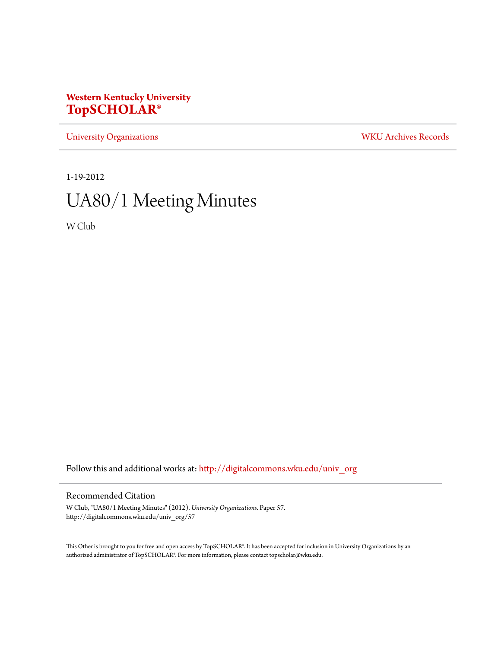## **Western Kentucky University [TopSCHOLAR®](http://digitalcommons.wku.edu?utm_source=digitalcommons.wku.edu%2Funiv_org%2F57&utm_medium=PDF&utm_campaign=PDFCoverPages)**

[University Organizations](http://digitalcommons.wku.edu/univ_org?utm_source=digitalcommons.wku.edu%2Funiv_org%2F57&utm_medium=PDF&utm_campaign=PDFCoverPages) [WKU Archives Records](http://digitalcommons.wku.edu/dlsc_ua_records?utm_source=digitalcommons.wku.edu%2Funiv_org%2F57&utm_medium=PDF&utm_campaign=PDFCoverPages)

1-19-2012

# UA80/1 Meeting Minutes

W Club

Follow this and additional works at: [http://digitalcommons.wku.edu/univ\\_org](http://digitalcommons.wku.edu/univ_org?utm_source=digitalcommons.wku.edu%2Funiv_org%2F57&utm_medium=PDF&utm_campaign=PDFCoverPages)

#### Recommended Citation

W Club, "UA80/1 Meeting Minutes" (2012). *University Organizations.* Paper 57. http://digitalcommons.wku.edu/univ\_org/57

This Other is brought to you for free and open access by TopSCHOLAR®. It has been accepted for inclusion in University Organizations by an authorized administrator of TopSCHOLAR®. For more information, please contact topscholar@wku.edu.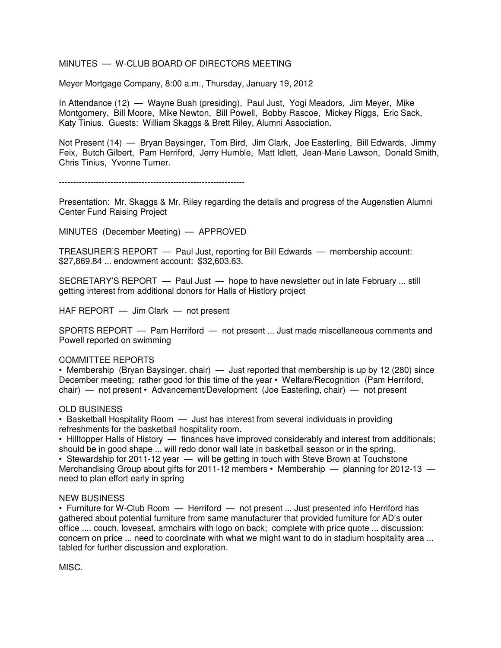#### MINUTES — W-CLUB BOARD OF DIRECTORS MEETING

Meyer Mortgage Company, 8:00 a.m., Thursday, January 19, 2012

In Attendance (12) — Wayne Buah (presiding), Paul Just, Yogi Meadors, Jim Meyer, Mike Montgomery, Bill Moore, Mike Newton, Bill Powell, Bobby Rascoe, Mickey Riggs, Eric Sack, Katy Tinius. Guests: William Skaggs & Brett Riley, Alumni Association.

Not Present (14) — Bryan Baysinger, Tom Bird, Jim Clark, Joe Easterling, Bill Edwards, Jimmy Feix, Butch Gilbert, Pam Herriford, Jerry Humble, Matt Idlett, Jean-Marie Lawson, Donald Smith, Chris Tinius, Yvonne Turner.

-----------------------------------------------------------------

Presentation: Mr. Skaggs & Mr. Riley regarding the details and progress of the Augenstien Alumni Center Fund Raising Project

MINUTES (December Meeting) — APPROVED

TREASURER'S REPORT — Paul Just, reporting for Bill Edwards — membership account: \$27,869.84 ... endowment account: \$32,603.63.

SECRETARY'S REPORT — Paul Just — hope to have newsletter out in late February ... still getting interest from additional donors for Halls of Histlory project

HAF REPORT — Jim Clark — not present

SPORTS REPORT — Pam Herriford — not present ... Just made miscellaneous comments and Powell reported on swimming

#### COMMITTEE REPORTS

• Membership (Bryan Baysinger, chair) — Just reported that membership is up by 12 (280) since December meeting; rather good for this time of the year • Welfare/Recognition (Pam Herriford, chair) — not present • Advancement/Development (Joe Easterling, chair) — not present

#### OLD BUSINESS

• Basketball Hospitality Room — Just has interest from several individuals in providing refreshments for the basketball hospitality room.

• Hilltopper Halls of History — finances have improved considerably and interest from additionals; should be in good shape ... will redo donor wall late in basketball season or in the spring.

• Stewardship for 2011-12 year  $-$  will be getting in touch with Steve Brown at Touchstone Merchandising Group about gifts for 2011-12 members • Membership — planning for 2012-13 need to plan effort early in spring

#### NEW BUSINESS

• Furniture for W-Club Room  $-$  Herriford  $-$  not present ... Just presented info Herriford has gathered about potential furniture from same manufacturer that provided furniture for AD's outer office .... couch, loveseat, armchairs with logo on back; complete with price quote ... discussion: concern on price ... need to coordinate with what we might want to do in stadium hospitality area ... tabled for further discussion and exploration.

MISC.